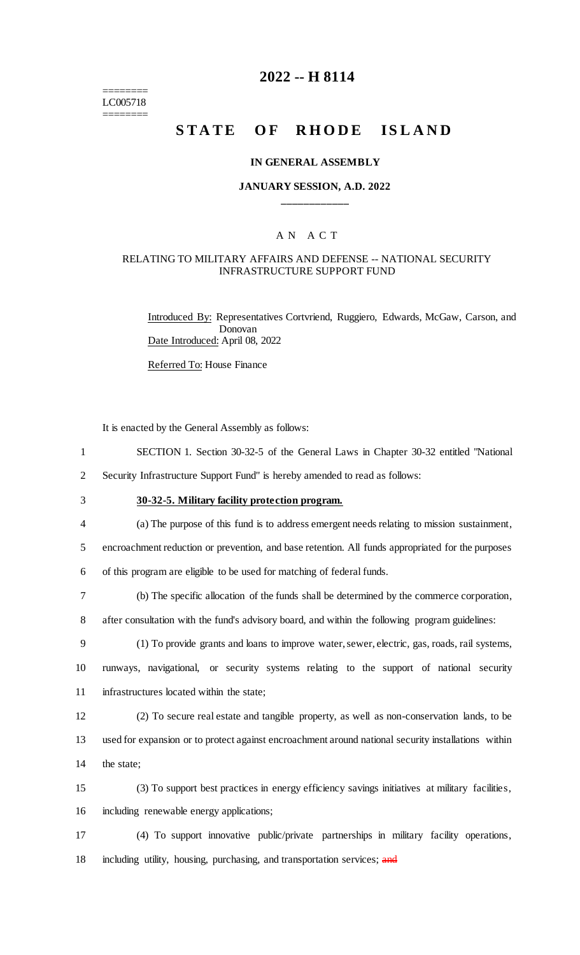======== LC005718 ========

# **2022 -- H 8114**

# **STATE OF RHODE ISLAND**

#### **IN GENERAL ASSEMBLY**

#### **JANUARY SESSION, A.D. 2022 \_\_\_\_\_\_\_\_\_\_\_\_**

#### A N A C T

#### RELATING TO MILITARY AFFAIRS AND DEFENSE -- NATIONAL SECURITY INFRASTRUCTURE SUPPORT FUND

Introduced By: Representatives Cortvriend, Ruggiero, Edwards, McGaw, Carson, and Donovan Date Introduced: April 08, 2022

Referred To: House Finance

It is enacted by the General Assembly as follows:

1 SECTION 1. Section 30-32-5 of the General Laws in Chapter 30-32 entitled "National

2 Security Infrastructure Support Fund" is hereby amended to read as follows:

3 **30-32-5. Military facility protection program.**

4 (a) The purpose of this fund is to address emergent needs relating to mission sustainment,

5 encroachment reduction or prevention, and base retention. All funds appropriated for the purposes

6 of this program are eligible to be used for matching of federal funds.

7 (b) The specific allocation of the funds shall be determined by the commerce corporation,

8 after consultation with the fund's advisory board, and within the following program guidelines:

9 (1) To provide grants and loans to improve water, sewer, electric, gas, roads, rail systems, 10 runways, navigational, or security systems relating to the support of national security 11 infrastructures located within the state;

12 (2) To secure real estate and tangible property, as well as non-conservation lands, to be 13 used for expansion or to protect against encroachment around national security installations within 14 the state;

15 (3) To support best practices in energy efficiency savings initiatives at military facilities, 16 including renewable energy applications;

17 (4) To support innovative public/private partnerships in military facility operations, 18 including utility, housing, purchasing, and transportation services; and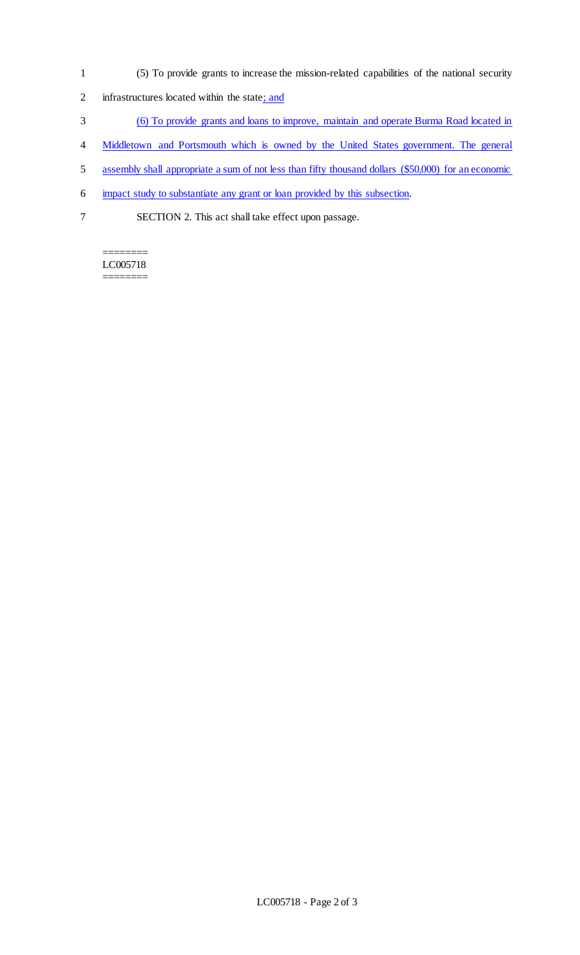- 1 (5) To provide grants to increase the mission-related capabilities of the national security
- 2 infrastructures located within the state; and
- 3 (6) To provide grants and loans to improve, maintain and operate Burma Road located in
- 4 Middletown and Portsmouth which is owned by the United States government. The general
- 5 assembly shall appropriate a sum of not less than fifty thousand dollars (\$50,000) for an economic
- 6 impact study to substantiate any grant or loan provided by this subsection.
- 7 SECTION 2. This act shall take effect upon passage.

======== LC005718 ========